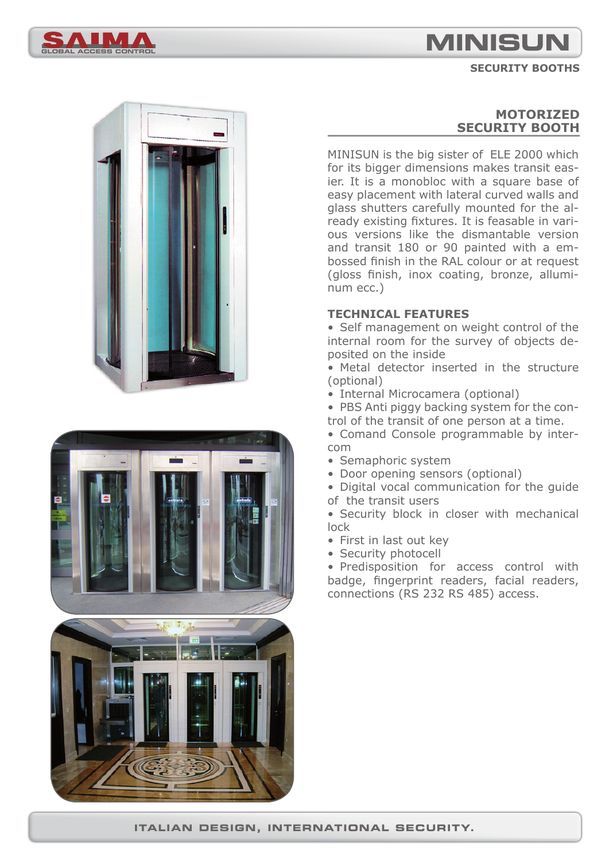# **MINISUN**

#### **SECURITY BOOTHS**







## **MOTORIZED SECURITY BOOTH**

MINISUN is the big sister of ELE 2000 which for its bigger dimensions makes transit easier. It is a monobloc with a square base of easy placement with lateral curved walls and glass shutters carefully mounted for the already existing fixtures. It is feasable in various versions like the dismantable version and transit 180 or 90 painted with a embossed finish in the RAL colour or at request (gloss finish, inox coating, bronze, alluminum ecc.)

#### **TECHNICAL FEATURES**

• Self management on weight control of the internal room for the survey of objects deposited on the inside

• Metal detector inserted in the structure (optional)

• Internal Microcamera (optional)

• PBS Anti piggy backing system for the control of the transit of one person at a time.

• Comand Console programmable by intercom

- Semaphoric system
- Door opening sensors (optional)

• Digital vocal communication for the guide of the transit users

• Security block in closer with mechanical lock

- First in last out key
- Security photocell

• Predisposition for access control with badge, fingerprint readers, facial readers, connections (RS 232 RS 485) access.